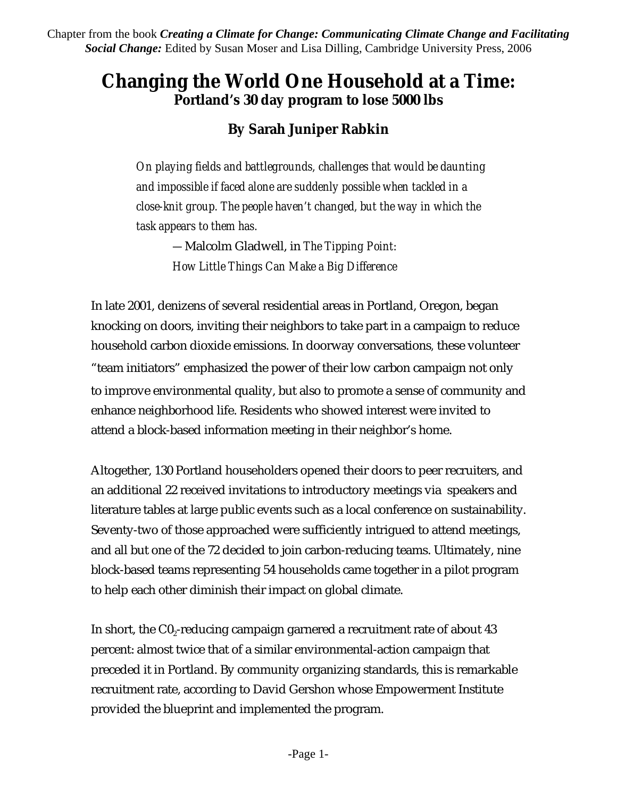Chapter from the book *Creating a Climate for Change: Communicating Climate Change and Facilitating Social Change:* Edited by Susan Moser and Lisa Dilling, Cambridge University Press, 2006

# **Changing the World One Household at a Time: Portland's 30 day program to lose 5000 lbs**

# **By Sarah Juniper Rabkin**

*On playing fields and battlegrounds, challenges that would be daunting and impossible if faced alone are suddenly possible when tackled in a close-knit group. The people haven't changed, but the way in which the task appears to them has.*

> *—*Malcolm Gladwell, in *The Tipping Point: How Little Things Can Make a Big Difference*

In late 2001, denizens of several residential areas in Portland, Oregon, began knocking on doors, inviting their neighbors to take part in a campaign to reduce household carbon dioxide emissions. In doorway conversations*,* these volunteer "team initiators" emphasized the power of their low carbon campaign not only to improve environmental quality, but also to promote a sense of community and enhance neighborhood life. Residents who showed interest were invited to attend a block-based information meeting in their neighbor's home.

Altogether, 130 Portland householders opened their doors to peer recruiters, and an additional 22 received invitations to introductory meetings via speakers and literature tables at large public events such as a local conference on sustainability. Seventy-two of those approached were sufficiently intrigued to attend meetings, and all but one of the 72 decided to join carbon-reducing teams. Ultimately, nine block-based teams representing 54 households came together in a pilot program to help each other diminish their impact on global climate.

In short, the C0 $_{\textrm{\tiny{2}}}$ -reducing campaign garnered a recruitment rate of about 43 percent: almost twice that of a similar environmental-action campaign that preceded it in Portland. By community organizing standards, this is remarkable recruitment rate, according to David Gershon whose Empowerment Institute provided the blueprint and implemented the program.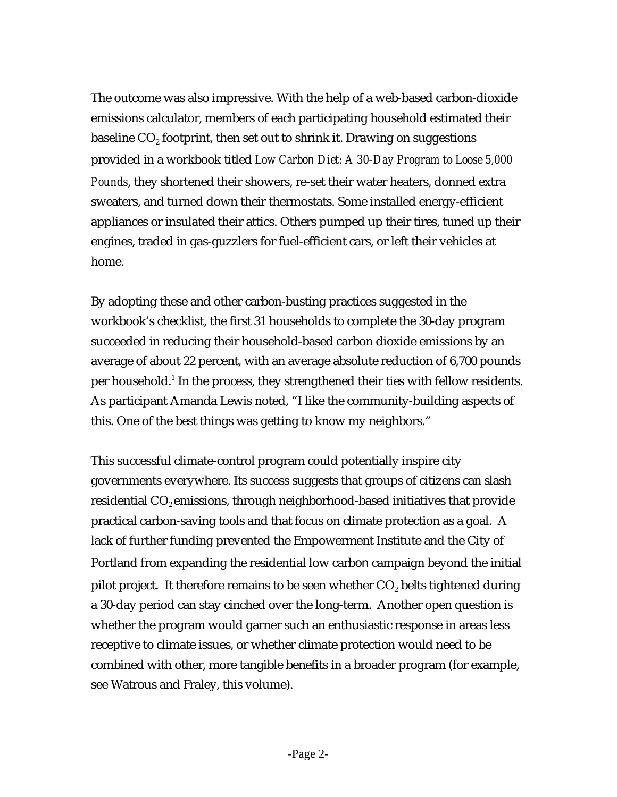The outcome was also impressive. With the help of a web-based carbon-dioxide emissions calculator, members of each participating household estimated their baseline CO $_{\rm z}$  footprint, then set out to shrink it. Drawing on suggestions provided in a workbook titled *Low Carbon Diet: A 30-Day Program to Loose 5,000 Pounds*, they shortened their showers, re-set their water heaters, donned extra sweaters, and turned down their thermostats. Some installed energy-efficient appliances or insulated their attics. Others pumped up their tires, tuned up their engines, traded in gas-guzzlers for fuel-efficient cars, or left their vehicles at home.

By adopting these and other carbon-busting practices suggested in the workbook's checklist, the first 31 households to complete the 30-day program succeeded in reducing their household-based carbon dioxide emissions by an average of about 22 percent, with an average absolute reduction of 6,700 pounds per household.<sup>1</sup> In the process, they strengthened their ties with fellow residents. As participant Amanda Lewis noted, "I like the community-building aspects of this. One of the best things was getting to know my neighbors."

This successful climate-control program could potentially inspire city governments everywhere. Its success suggests that groups of citizens can slash residential CO<sub>2</sub> emissions, through neighborhood-based initiatives that provide practical carbon-saving tools and that focus on climate protection as a goal. A lack of further funding prevented the Empowerment Institute and the City of Portland from expanding the residential low carbon campaign beyond the initial pilot project. It therefore remains to be seen whether  $\mathrm{CO}_2$  belts tightened during a 30-day period can stay cinched over the long-term. Another open question is whether the program would garner such an enthusiastic response in areas less receptive to climate issues, or whether climate protection would need to be combined with other, more tangible benefits in a broader program (for example, see Watrous and Fraley, this volume).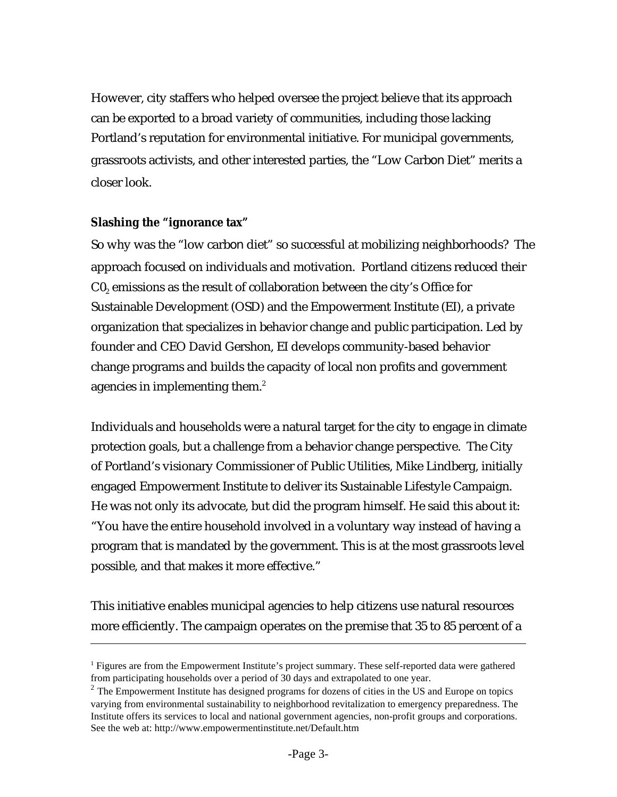However, city staffers who helped oversee the project believe that its approach can be exported to a broad variety of communities, including those lacking Portland's reputation for environmental initiative. For municipal governments, grassroots activists, and other interested parties, the "Low Carbon Diet" merits a closer look.

#### **Slashing the "ignorance tax"**

So why was the "low carbon diet" so successful at mobilizing neighborhoods? The approach focused on individuals and motivation. Portland citizens reduced their  $\text{C0}_2$  emissions as the result of collaboration between the city's Office for Sustainable Development (OSD) and the Empowerment Institute (EI), a private organization that specializes in behavior change and public participation. Led by founder and CEO David Gershon, EI develops community-based behavior change programs and builds the capacity of local non profits and government agencies in implementing them.<sup>2</sup>

Individuals and households were a natural target for the city to engage in climate protection goals, but a challenge from a behavior change perspective. The City of Portland's visionary Commissioner of Public Utilities, Mike Lindberg, initially engaged Empowerment Institute to deliver its Sustainable Lifestyle Campaign. He was not only its advocate, but did the program himself. He said this about it: "You have the entire household involved in a voluntary way instead of having a program that is mandated by the government. This is at the most grassroots level possible, and that makes it more effective."

This initiative enables municipal agencies to help citizens use natural resources more efficiently. The campaign operates on the premise that 35 to 85 percent of a

<sup>&</sup>lt;sup>1</sup> Figures are from the Empowerment Institute's project summary. These self-reported data were gathered from participating households over a period of 30 days and extrapolated to one year.

 $2^{2}$  The Empowerment Institute has designed programs for dozens of cities in the US and Europe on topics varying from environmental sustainability to neighborhood revitalization to emergency preparedness. The Institute offers its services to local and national government agencies, non-profit groups and corporations. See the web at: http://www.empowermentinstitute.net/Default.htm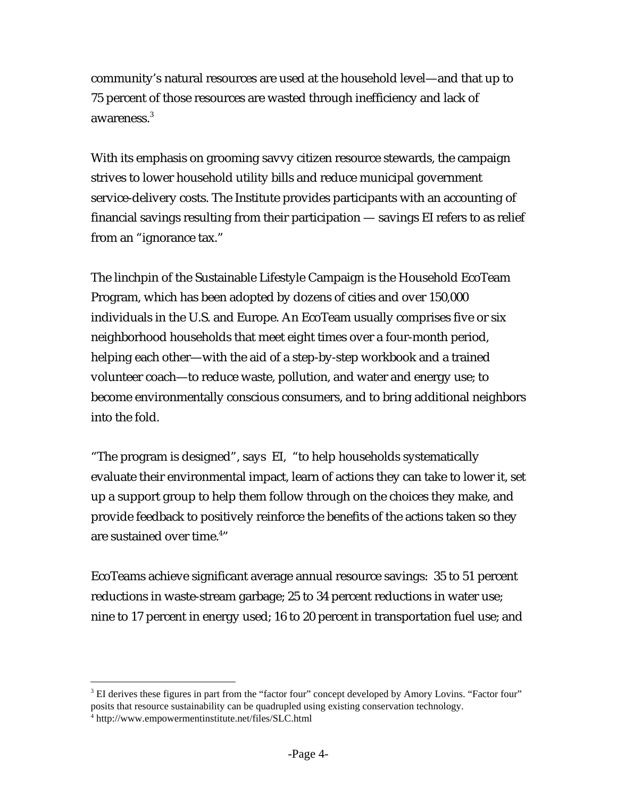community's natural resources are used at the household level—and that up to 75 percent of those resources are wasted through inefficiency and lack of awareness.<sup>3</sup>

With its emphasis on grooming savvy citizen resource stewards, the campaign strives to lower household utility bills and reduce municipal government service-delivery costs. The Institute provides participants with an accounting of financial savings resulting from their participation — savings EI refers to as relief from an "ignorance tax."

The linchpin of the Sustainable Lifestyle Campaign is the Household EcoTeam Program, which has been adopted by dozens of cities and over 150,000 individuals in the U.S. and Europe. An EcoTeam usually comprises five or six neighborhood households that meet eight times over a four-month period, helping each other—with the aid of a step-by-step workbook and a trained volunteer coach—to reduce waste, pollution, and water and energy use; to become environmentally conscious consumers, and to bring additional neighbors into the fold.

"The program is designed", says EI, "to help households systematically evaluate their environmental impact, learn of actions they can take to lower it, set up a support group to help them follow through on the choices they make, and provide feedback to positively reinforce the benefits of the actions taken so they are sustained over time.<sup>4</sup>"

EcoTeams achieve significant average annual resource savings: 35 to 51 percent reductions in waste-stream garbage; 25 to 34 percent reductions in water use; nine to 17 percent in energy used; 16 to 20 percent in transportation fuel use; and

 $\overline{a}$ 

<sup>&</sup>lt;sup>3</sup> EI derives these figures in part from the "factor four" concept developed by Amory Lovins. "Factor four" posits that resource sustainability can be quadrupled using existing conservation technology.

<sup>4</sup> http://www.empowermentinstitute.net/files/SLC.html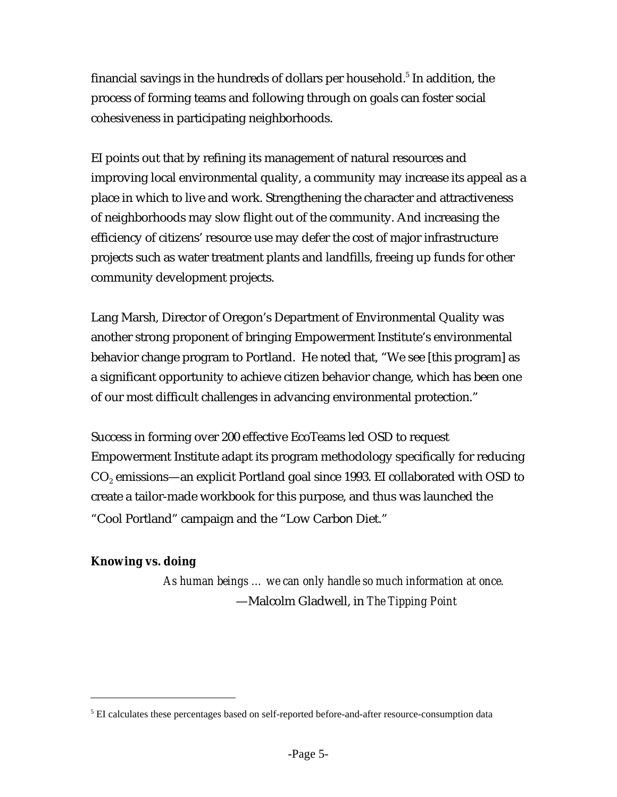financial savings in the hundreds of dollars per household. $^5$  In addition, the process of forming teams and following through on goals can foster social cohesiveness in participating neighborhoods.

EI points out that by refining its management of natural resources and improving local environmental quality, a community may increase its appeal as a place in which to live and work. Strengthening the character and attractiveness of neighborhoods may slow flight out of the community. And increasing the efficiency of citizens' resource use may defer the cost of major infrastructure projects such as water treatment plants and landfills, freeing up funds for other community development projects.

Lang Marsh, Director of Oregon's Department of Environmental Quality was another strong proponent of bringing Empowerment Institute's environmental behavior change program to Portland. He noted that, "We see [this program] as a significant opportunity to achieve citizen behavior change, which has been one of our most difficult challenges in advancing environmental protection."

Success in forming over 200 effective EcoTeams led OSD to request Empowerment Institute adapt its program methodology specifically for reducing  $\mathrm{CO}_2$  emissions—an explicit Portland goal since 1993. EI collaborated with OSD to create a tailor-made workbook for this purpose, and thus was launched the "Cool Portland" campaign and the "Low Carbon Diet."

## **Knowing vs. doing**

j

*As human beings … we can only handle so much information at once.* —Malcolm Gladwell, in *The Tipping Point*

<sup>&</sup>lt;sup>5</sup> EI calculates these percentages based on self-reported before-and-after resource-consumption data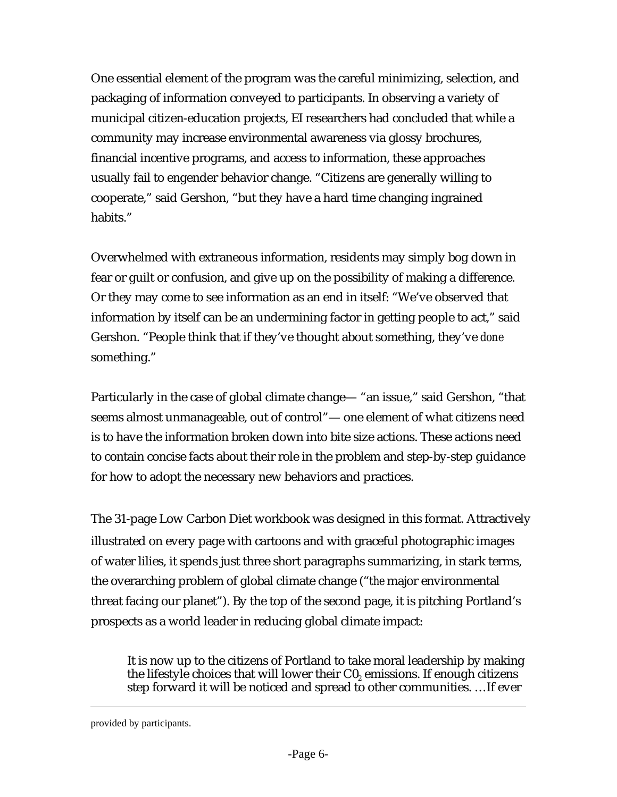One essential element of the program was the careful minimizing, selection, and packaging of information conveyed to participants. In observing a variety of municipal citizen-education projects, EI researchers had concluded that while a community may increase environmental awareness via glossy brochures, financial incentive programs, and access to information, these approaches usually fail to engender behavior change. "Citizens are generally willing to cooperate," said Gershon, "but they have a hard time changing ingrained habits."

Overwhelmed with extraneous information, residents may simply bog down in fear or guilt or confusion, and give up on the possibility of making a difference. Or they may come to see information as an end in itself: "We've observed that information by itself can be an undermining factor in getting people to act," said Gershon. "People think that if they've thought about something, they've *done* something."

Particularly in the case of global climate change— "an issue," said Gershon, "that seems almost unmanageable, out of control"— one element of what citizens need is to have the information broken down into bite size actions. These actions need to contain concise facts about their role in the problem and step-by-step guidance for how to adopt the necessary new behaviors and practices.

The 31-page Low Carbon Diet workbook was designed in this format. Attractively illustrated on every page with cartoons and with graceful photographic images of water lilies, it spends just three short paragraphs summarizing, in stark terms, the overarching problem of global climate change ("*the* major environmental threat facing our planet"). By the top of the second page, it is pitching Portland's prospects as a world leader in reducing global climate impact:

It is now up to the citizens of Portland to take moral leadership by making the lifestyle choices that will lower their C0 $_{\textrm{\tiny{2}}}$  emissions. If enough citizens step forward it will be noticed and spread to other communities. …If ever

İ

provided by participants.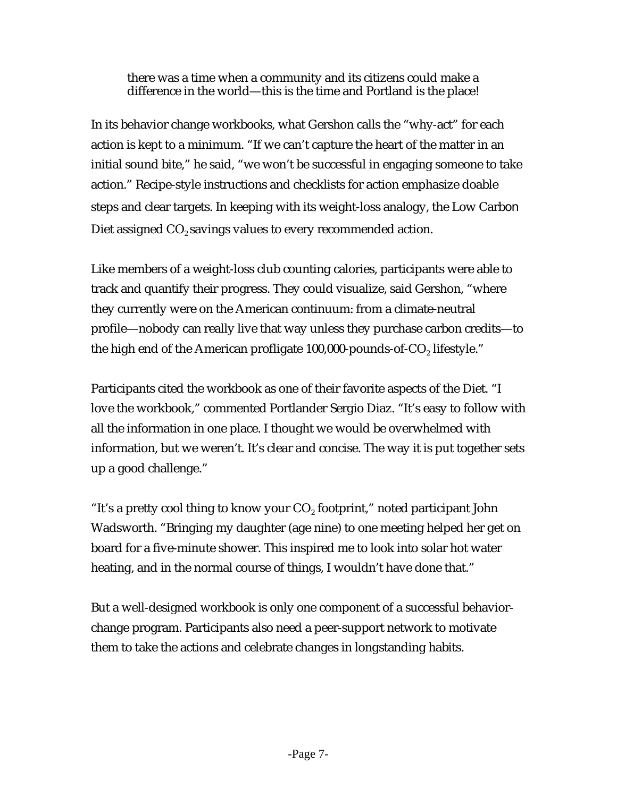there was a time when a community and its citizens could make a difference in the world—this is the time and Portland is the place!

In its behavior change workbooks, what Gershon calls the "why-act" for each action is kept to a minimum. "If we can't capture the heart of the matter in an initial sound bite," he said, "we won't be successful in engaging someone to take action." Recipe-style instructions and checklists for action emphasize doable steps and clear targets. In keeping with its weight-loss analogy, the Low Carbon Diet assigned CO<sub>2</sub> savings values to every recommended action.

Like members of a weight-loss club counting calories, participants were able to track and quantify their progress. They could visualize, said Gershon, "where they currently were on the American continuum: from a climate-neutral profile—nobody can really live that way unless they purchase carbon credits—to the high end of the American profligate 100,000-pounds-of-CO $_{\textrm{\tiny{2}}}$  lifestyle."

Participants cited the workbook as one of their favorite aspects of the Diet. "I love the workbook," commented Portlander Sergio Diaz. "It's easy to follow with all the information in one place. I thought we would be overwhelmed with information, but we weren't. It's clear and concise. The way it is put together sets up a good challenge."

"It's a pretty cool thing to know your  $\mathrm{CO}_2$  footprint," noted participant John Wadsworth. "Bringing my daughter (age nine) to one meeting helped her get on board for a five-minute shower. This inspired me to look into solar hot water heating, and in the normal course of things, I wouldn't have done that."

But a well-designed workbook is only one component of a successful behaviorchange program. Participants also need a peer-support network to motivate them to take the actions and celebrate changes in longstanding habits.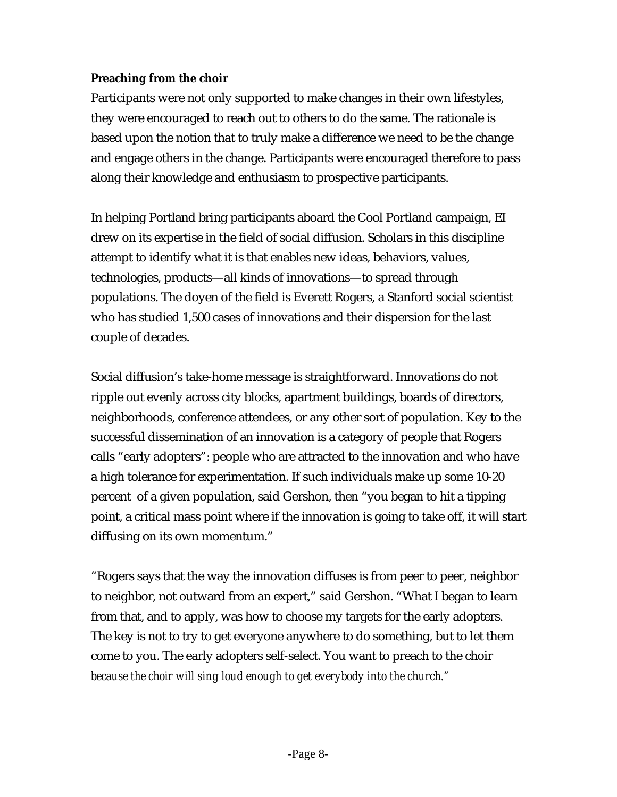#### **Preaching from the choir**

Participants were not only supported to make changes in their own lifestyles, they were encouraged to reach out to others to do the same. The rationale is based upon the notion that to truly make a difference we need to be the change and engage others in the change. Participants were encouraged therefore to pass along their knowledge and enthusiasm to prospective participants.

In helping Portland bring participants aboard the Cool Portland campaign, EI drew on its expertise in the field of social diffusion. Scholars in this discipline attempt to identify what it is that enables new ideas, behaviors, values, technologies, products—all kinds of innovations—to spread through populations. The doyen of the field is Everett Rogers, a Stanford social scientist who has studied 1,500 cases of innovations and their dispersion for the last couple of decades.

Social diffusion's take-home message is straightforward. Innovations do not ripple out evenly across city blocks, apartment buildings, boards of directors, neighborhoods, conference attendees, or any other sort of population. Key to the successful dissemination of an innovation is a category of people that Rogers calls "early adopters": people who are attracted to the innovation and who have a high tolerance for experimentation. If such individuals make up some 10-20 percent of a given population, said Gershon, then "you began to hit a tipping point, a critical mass point where if the innovation is going to take off, it will start diffusing on its own momentum."

"Rogers says that the way the innovation diffuses is from peer to peer, neighbor to neighbor, not outward from an expert," said Gershon. "What I began to learn from that, and to apply, was how to choose my targets for the early adopters. The key is not to try to get everyone anywhere to do something, but to let them come to you. The early adopters self-select. You want to preach to the choir *because the choir will sing loud enough to get everybody into the church."*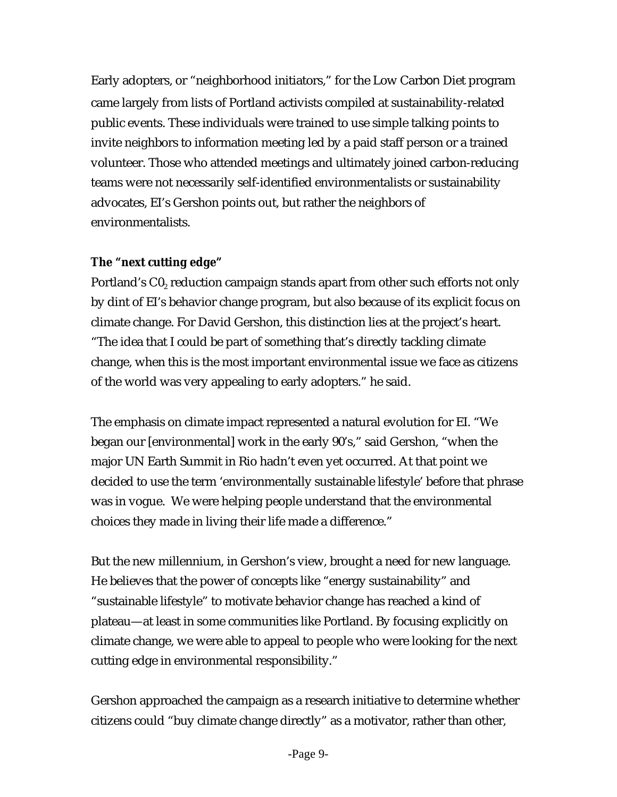Early adopters, or "neighborhood initiators," for the Low Carbon Diet program came largely from lists of Portland activists compiled at sustainability-related public events. These individuals were trained to use simple talking points to invite neighbors to information meeting led by a paid staff person or a trained volunteer. Those who attended meetings and ultimately joined carbon-reducing teams were not necessarily self-identified environmentalists or sustainability advocates, EI's Gershon points out, but rather the neighbors of environmentalists.

#### **The "next cutting edge"**

Portland's C ${\bf 0}_2$  reduction campaign stands apart from other such efforts not only by dint of EI's behavior change program, but also because of its explicit focus on climate change. For David Gershon, this distinction lies at the project's heart. "The idea that I could be part of something that's directly tackling climate change, when this is the most important environmental issue we face as citizens of the world was very appealing to early adopters." he said.

The emphasis on climate impact represented a natural evolution for EI. "We began our [environmental] work in the early 90's," said Gershon, "when the major UN Earth Summit in Rio hadn't even yet occurred. At that point we decided to use the term 'environmentally sustainable lifestyle' before that phrase was in vogue. We were helping people understand that the environmental choices they made in living their life made a difference."

But the new millennium, in Gershon's view, brought a need for new language. He believes that the power of concepts like "energy sustainability" and "sustainable lifestyle" to motivate behavior change has reached a kind of plateau—at least in some communities like Portland. By focusing explicitly on climate change, we were able to appeal to people who were looking for the next cutting edge in environmental responsibility."

Gershon approached the campaign as a research initiative to determine whether citizens could "buy climate change directly" as a motivator, rather than other,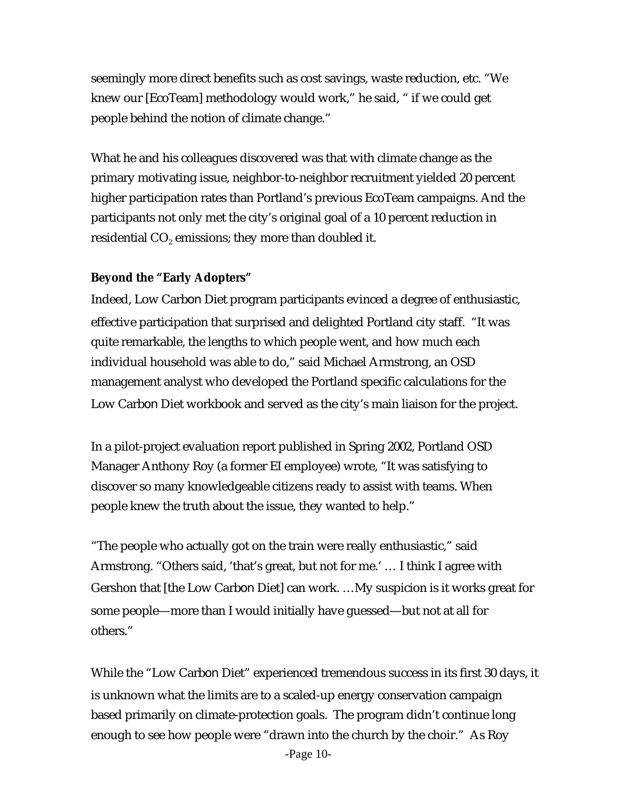seemingly more direct benefits such as cost savings, waste reduction, etc. "We knew our [EcoTeam] methodology would work," he said, " if we could get people behind the notion of climate change."

What he and his colleagues discovered was that with climate change as the primary motivating issue, neighbor-to-neighbor recruitment yielded 20 percent higher participation rates than Portland's previous EcoTeam campaigns. And the participants not only met the city's original goal of a 10 percent reduction in residential CO $_{\rm z}$  emissions; they more than doubled it.

#### **Beyond the "Early Adopters"**

Indeed, Low Carbon Diet program participants evinced a degree of enthusiastic, effective participation that surprised and delighted Portland city staff. "It was quite remarkable, the lengths to which people went, and how much each individual household was able to do," said Michael Armstrong, an OSD management analyst who developed the Portland specific calculations for the Low Carbon Diet workbook and served as the city's main liaison for the project.

In a pilot-project evaluation report published in Spring 2002, Portland OSD Manager Anthony Roy (a former EI employee) wrote, "It was satisfying to discover so many knowledgeable citizens ready to assist with teams. When people knew the truth about the issue, they wanted to help."

"The people who actually got on the train were really enthusiastic," said Armstrong. "Others said, 'that's great, but not for me.' … I think I agree with Gershon that [the Low Carbon Diet] can work. …My suspicion is it works great for some people—more than I would initially have guessed—but not at all for others."

While the "Low Carbon Diet" experienced tremendous success in its first 30 days, it is unknown what the limits are to a scaled-up energy conservation campaign based primarily on climate-protection goals. The program didn't continue long enough to see how people were "drawn into the church by the choir." As Roy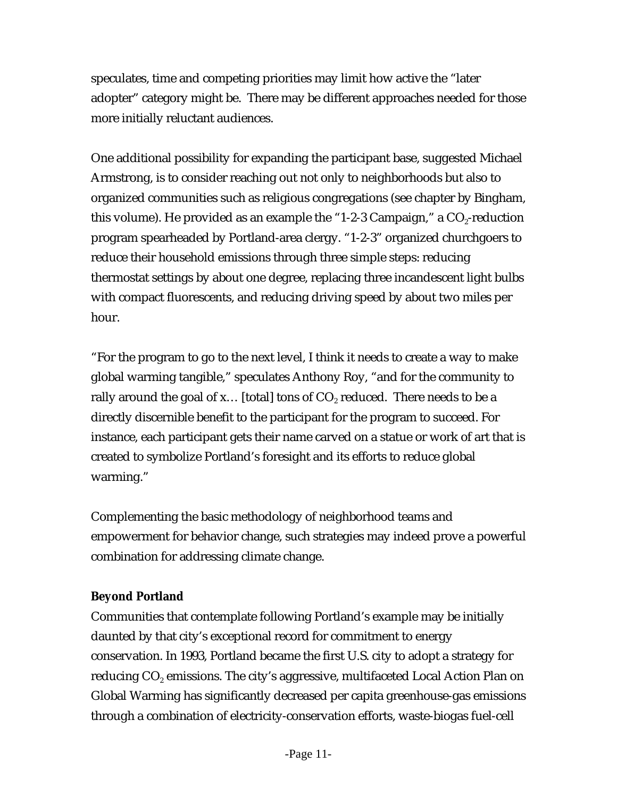speculates, time and competing priorities may limit how active the "later adopter" category might be. There may be different approaches needed for those more initially reluctant audiences.

One additional possibility for expanding the participant base, suggested Michael Armstrong, is to consider reaching out not only to neighborhoods but also to organized communities such as religious congregations (see chapter by Bingham, this volume). He provided as an example the "1-2-3 Campaign," a CO $_2$ -reduction program spearheaded by Portland-area clergy. "1-2-3" organized churchgoers to reduce their household emissions through three simple steps: reducing thermostat settings by about one degree, replacing three incandescent light bulbs with compact fluorescents, and reducing driving speed by about two miles per hour.

"For the program to go to the next level, I think it needs to create a way to make global warming tangible," speculates Anthony Roy, "and for the community to rally around the goal of **x**... [total] tons of  $\mathrm{CO}_2$  reduced. There needs to be a directly discernible benefit to the participant for the program to succeed. For instance, each participant gets their name carved on a statue or work of art that is created to symbolize Portland's foresight and its efforts to reduce global warming."

Complementing the basic methodology of neighborhood teams and empowerment for behavior change, such strategies may indeed prove a powerful combination for addressing climate change.

## **Beyond Portland**

Communities that contemplate following Portland's example may be initially daunted by that city's exceptional record for commitment to energy conservation. In 1993, Portland became the first U.S. city to adopt a strategy for reducing CO $_{\rm 2}$  emissions. The city's aggressive, multifaceted Local Action Plan on Global Warming has significantly decreased per capita greenhouse-gas emissions through a combination of electricity-conservation efforts, waste-biogas fuel-cell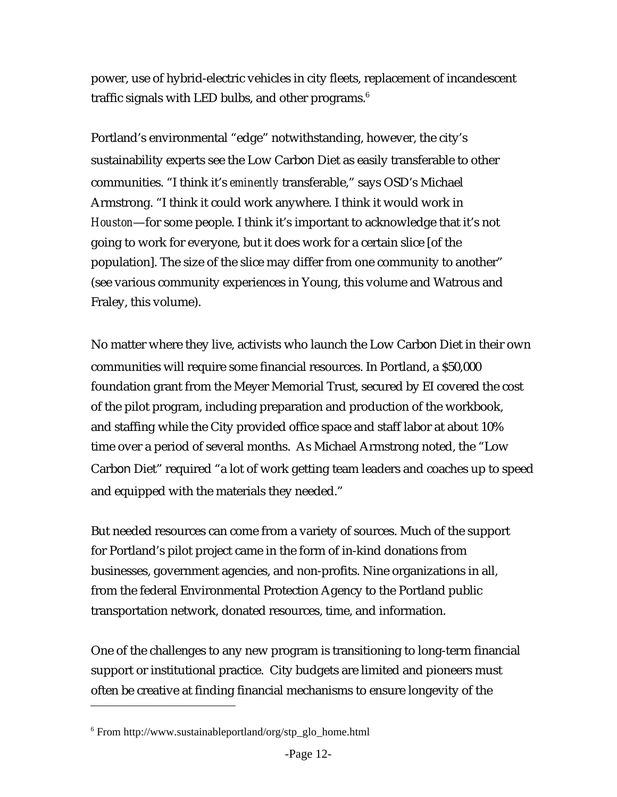power, use of hybrid-electric vehicles in city fleets, replacement of incandescent traffic signals with LED bulbs, and other programs. $6$ 

Portland's environmental "edge" notwithstanding, however, the city's sustainability experts see the Low Carbon Diet as easily transferable to other communities. "I think it's *eminently* transferable," says OSD's Michael Armstrong. "I think it could work anywhere. I think it would work in *Houston*—for some people. I think it's important to acknowledge that it's not going to work for everyone, but it does work for a certain slice [of the population]. The size of the slice may differ from one community to another" (see various community experiences in Young, this volume and Watrous and Fraley, this volume).

No matter where they live, activists who launch the Low Carbon Diet in their own communities will require some financial resources. In Portland, a \$50,000 foundation grant from the Meyer Memorial Trust, secured by EI covered the cost of the pilot program, including preparation and production of the workbook, and staffing while the City provided office space and staff labor at about 10% time over a period of several months. As Michael Armstrong noted, the "Low Carbon Diet" required "a lot of work getting team leaders and coaches up to speed and equipped with the materials they needed."

But needed resources can come from a variety of sources. Much of the support for Portland's pilot project came in the form of in-kind donations from businesses, government agencies, and non-profits. Nine organizations in all, from the federal Environmental Protection Agency to the Portland public transportation network, donated resources, time, and information.

One of the challenges to any new program is transitioning to long-term financial support or institutional practice. City budgets are limited and pioneers must often be creative at finding financial mechanisms to ensure longevity of the

<sup>6</sup> From http://www.sustainableportland/org/stp\_glo\_home.html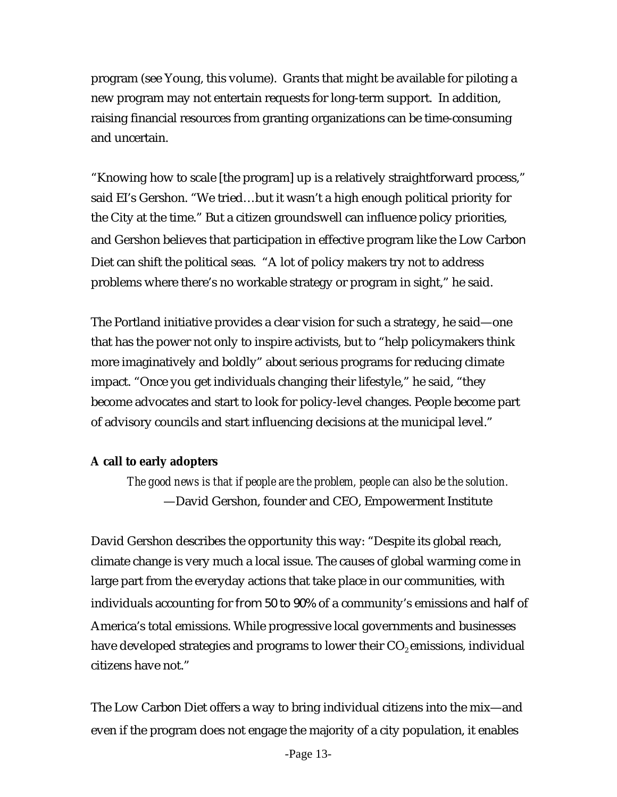program (see Young, this volume). Grants that might be available for piloting a new program may not entertain requests for long-term support. In addition, raising financial resources from granting organizations can be time-consuming and uncertain.

"Knowing how to scale [the program] up is a relatively straightforward process," said EI's Gershon. "We tried…but it wasn't a high enough political priority for the City at the time." But a citizen groundswell can influence policy priorities, and Gershon believes that participation in effective program like the Low Carbon Diet can shift the political seas. "A lot of policy makers try not to address problems where there's no workable strategy or program in sight," he said.

The Portland initiative provides a clear vision for such a strategy, he said—one that has the power not only to inspire activists, but to "help policymakers think more imaginatively and boldly" about serious programs for reducing climate impact. "Once you get individuals changing their lifestyle," he said, "they become advocates and start to look for policy-level changes. People become part of advisory councils and start influencing decisions at the municipal level."

#### **A call to early adopters**

*The good news is that if people are the problem, people can also be the solution.* —David Gershon, founder and CEO, Empowerment Institute

David Gershon describes the opportunity this way: "Despite its global reach, climate change is very much a local issue. The causes of global warming come in large part from the everyday actions that take place in our communities, with individuals accounting for from 50 to 90% of a community's emissions and half of America's total emissions. While progressive local governments and businesses have developed strategies and programs to lower their  $CO<sub>2</sub>$  emissions, individual citizens have not."

The Low Carbon Diet offers a way to bring individual citizens into the mix—and even if the program does not engage the majority of a city population, it enables